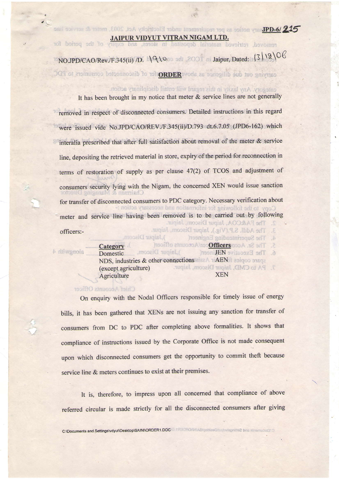$215$  h)-d9Lsary notice as per requirement under Electricity Act. 2003, meter & service line

JAIPUR VIDYUT VITRAN NIGAM LTD. Johns of the second of the second of the second beyond the boundary

## NO.JPD/CAO/Rev./F.345(ii) /D.  $\sqrt{9100}$  od 2001 Jaipur, Dated: (3 \\9\06

carrying out due diligence as above **ABORD** for of disconnected consumers to PDC

category. Any laxity in this regard will entail disciplinary action.

It has been brought in my notice that meter & service lines are not generally removed in respect of disconnected consumers. Detailed instructions in this regard were issued vide No.JPD/CAO/REV./F.345(ii)/D.793 dt.6.7.05 (JPD6-162) which interalia prescribed that after full satisfaction about removal of the meter & service line, depositing the retrieved material in store, expiry of the period for reconnection in terms of restoration of supply as per clause 47(2) of TCOS and adjustment of consumers security lying with the Nigam, the concemed XEN would issue sanction for transfer of disconnected consumers to PDC category. Necessary verification about meter and service line having been removed is to be carried out by following The Addl. S.P.(Vig.), Jaipur Discom, Jaipur. officers:-), Jaipur Discom, The Superintending Engineer( **Ship** The Sr. According of Accounts officer(  $\overline{\mathcal{L}}$ **Category** alongwith 4

), Jaipur Discom, The Executive HHL neer( Domestic  $\alpha$ NDS, industries & other connections AEN (except agriculture) XEN **Agriculture** 

## Chief Accounts Officer

On enquiry with the Nodal Officers responsible for timely issue of energy bills, it has been gathered that XENs are not issuing any sanction for transfer of consumers from DC to PDC after completing above formalities. It shows that compliance of instructions issued by the Corporate Office is not made consequent upon which disconnected consumers get the opportunity to commit theft because service line & meters continues to exist at their premises.

It is, therefore, to impress upon all concerned that compliance of above referred circular is made strictly for all the disconnected consumers after giving